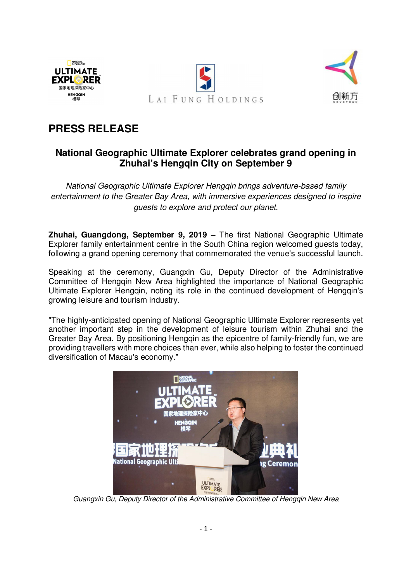



# **PRESS RELEASE**

NATIONAL **ULTIMATE EXPLORER** 国家地理探险家中心 **HENGOIN** 

## **National Geographic Ultimate Explorer celebrates grand opening in Zhuhai's Hengqin City on September 9**

*National Geographic Ultimate Explorer Hengqin brings adventure-based family entertainment to the Greater Bay Area, with immersive experiences designed to inspire guests to explore and protect our planet.* 

**Zhuhai, Guangdong, September 9, 2019 –** The first National Geographic Ultimate Explorer family entertainment centre in the South China region welcomed guests today, following a grand opening ceremony that commemorated the venue's successful launch.

Speaking at the ceremony, Guangxin Gu, Deputy Director of the Administrative Committee of Hengqin New Area highlighted the importance of National Geographic Ultimate Explorer Hengqin, noting its role in the continued development of Hengqin's growing leisure and tourism industry.

"The highly-anticipated opening of National Geographic Ultimate Explorer represents yet another important step in the development of leisure tourism within Zhuhai and the Greater Bay Area. By positioning Hengqin as the epicentre of family-friendly fun, we are providing travellers with more choices than ever, while also helping to foster the continued diversification of Macau's economy."



*Guangxin Gu, Deputy Director of the Administrative Committee of Hengqin New Area*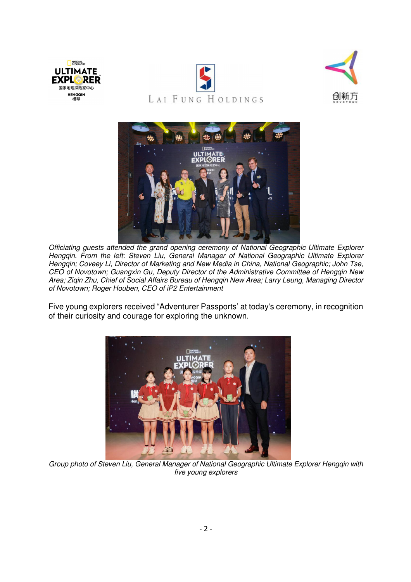







*Officiating guests attended the grand opening ceremony of National Geographic Ultimate Explorer Hengqin. From the left: Steven Liu, General Manager of National Geographic Ultimate Explorer Hengqin; Coveey Li, Director of Marketing and New Media in China, National Geographic; John Tse, CEO of Novotown; Guangxin Gu, Deputy Director of the Administrative Committee of Hengqin New Area; Ziqin Zhu, Chief of Social Affairs Bureau of Hengqin New Area; Larry Leung, Managing Director of Novotown; Roger Houben, CEO of iP2 Entertainment* 

Five young explorers received "Adventurer Passports' at today's ceremony, in recognition of their curiosity and courage for exploring the unknown.



*Group photo of Steven Liu, General Manager of National Geographic Ultimate Explorer Hengqin with five young explorers*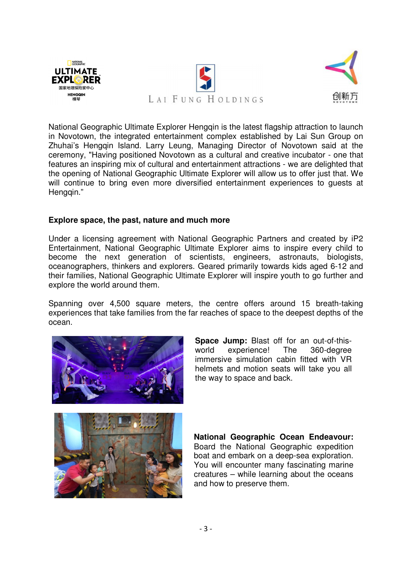



National Geographic Ultimate Explorer Hengqin is the latest flagship attraction to launch in Novotown, the integrated entertainment complex established by Lai Sun Group on Zhuhai's Hengqin Island. Larry Leung, Managing Director of Novotown said at the ceremony, "Having positioned Novotown as a cultural and creative incubator - one that features an inspiring mix of cultural and entertainment attractions - we are delighted that the opening of National Geographic Ultimate Explorer will allow us to offer just that. We will continue to bring even more diversified entertainment experiences to guests at Hengqin."

#### **Explore space, the past, nature and much more**

Under a licensing agreement with National Geographic Partners and created by iP2 Entertainment, National Geographic Ultimate Explorer aims to inspire every child to become the next generation of scientists, engineers, astronauts, biologists, oceanographers, thinkers and explorers. Geared primarily towards kids aged 6-12 and their families, National Geographic Ultimate Explorer will inspire youth to go further and explore the world around them.

Spanning over 4,500 square meters, the centre offers around 15 breath-taking experiences that take families from the far reaches of space to the deepest depths of the ocean.



**Space Jump:** Blast off for an out-of-thisworld experience! The 360-degree immersive simulation cabin fitted with VR helmets and motion seats will take you all the way to space and back.



**National Geographic Ocean Endeavour:** Board the National Geographic expedition boat and embark on a deep-sea exploration. You will encounter many fascinating marine creatures – while learning about the oceans and how to preserve them.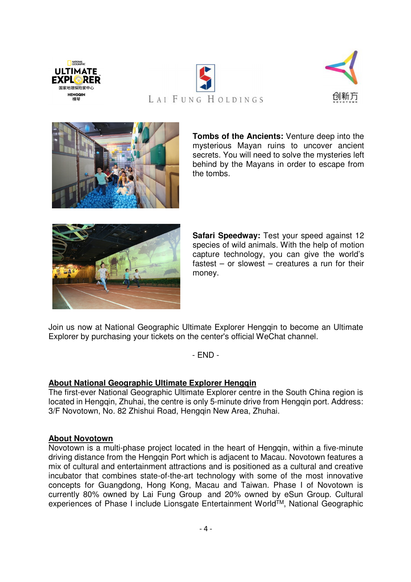





NATIONAL<br>GEOGRAPHIC **ULTIMATE EXPLORER** 国家地理探险家中心 **HENGOIN** 

> **Tombs of the Ancients:** Venture deep into the mysterious Mayan ruins to uncover ancient secrets. You will need to solve the mysteries left behind by the Mayans in order to escape from the tombs.



**Safari Speedway:** Test your speed against 12 species of wild animals. With the help of motion capture technology, you can give the world's fastest – or slowest – creatures a run for their money.

Join us now at National Geographic Ultimate Explorer Hengqin to become an Ultimate Explorer by purchasing your tickets on the center's official WeChat channel.

- END -

### **About National Geographic Ultimate Explorer Hengqin**

The first-ever National Geographic Ultimate Explorer centre in the South China region is located in Hengqin, Zhuhai, the centre is only 5-minute drive from Hengqin port. Address: 3/F Novotown, No. 82 Zhishui Road, Hengqin New Area, Zhuhai.

### **About Novotown**

Novotown is a multi-phase project located in the heart of Hengqin, within a five-minute driving distance from the Hengqin Port which is adjacent to Macau. Novotown features a mix of cultural and entertainment attractions and is positioned as a cultural and creative incubator that combines state-of-the-art technology with some of the most innovative concepts for Guangdong, Hong Kong, Macau and Taiwan. Phase I of Novotown is currently 80% owned by Lai Fung Group and 20% owned by eSun Group. Cultural experiences of Phase I include Lionsgate Entertainment World™, National Geographic